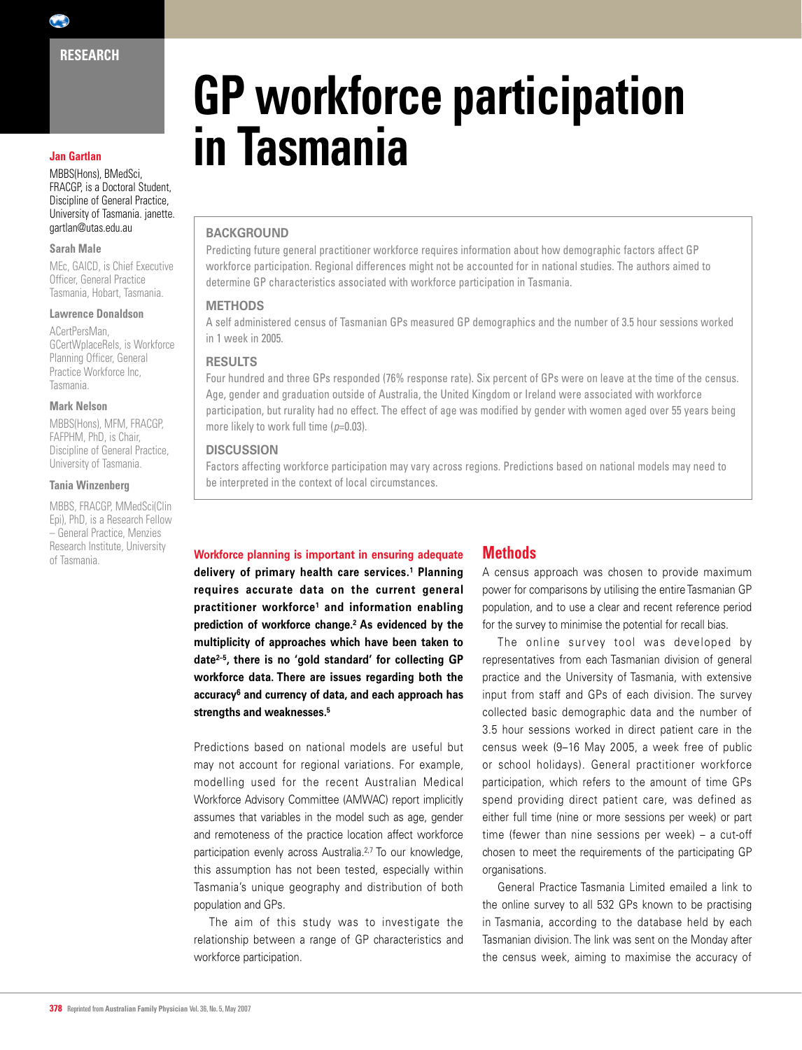$\left( \begin{array}{c} \bullet \\ \bullet \end{array} \right)$ 

#### **Jan Gartlan**

MBBS(Hons), BMedSci, FRACGP, is a Doctoral Student, Discipline of General Practice, University of Tasmania. janette. gartlan@utas.edu.au

#### **Sarah Male**

MEc, GAICD, is Chief Executive Officer, General Practice Tasmania, Hobart, Tasmania.

#### **Lawrence Donaldson**

ACertPersMan, GCertWplaceRels, is Workforce Planning Officer, General Practice Workforce Inc, Tasmania.

## **Mark Nelson**

MBBS(Hons), MFM, FRACGP, FAFPHM, PhD, is Chair, Discipline of General Practice, University of Tasmania.

#### **Tania Winzenberg**

MBBS, FRACGP, MMedSci(Clin Epi), PhD, is a Research Fellow – General Practice, Menzies Research Institute, University of Tasmania.

# **GP workforce participation in Tasmania**

## **BACKGROUND**

Predicting future general practitioner workforce requires information about how demographic factors affect GP workforce participation. Regional differences might not be accounted for in national studies. The authors aimed to determine GP characteristics associated with workforce participation in Tasmania.

## **Methods**

A self administered census of Tasmanian GPs measured GP demographics and the number of 3.5 hour sessions worked in 1 week in 2005.

## **Results**

Four hundred and three GPs responded (76% response rate). Six percent of GPs were on leave at the time of the census. Age, gender and graduation outside of Australia, the United Kingdom or Ireland were associated with workforce participation, but rurality had no effect. The effect of age was modified by gender with women aged over 55 years being more likely to work full time ( $p=0.03$ ).

### **Discussion**

Factors affecting workforce participation may vary across regions. Predictions based on national models may need to be interpreted in the context of local circumstances.

# **Workforce planning is important in ensuring adequate**

**delivery of primary health care services.1 Planning requires accurate data on the current general practitioner workforce1 and information enabling prediction of workforce change.2 As evidenced by the multiplicity of approaches which have been taken to date2–5, there is no 'gold standard' for collecting GP workforce data. There are issues regarding both the accuracy6 and currency of data, and each approach has strengths and weaknesses.5**

Predictions based on national models are useful but may not account for regional variations. For example, modelling used for the recent Australian Medical Workforce Advisory Committee (AMWAC) report implicitly assumes that variables in the model such as age, gender and remoteness of the practice location affect workforce participation evenly across Australia.<sup>2,7</sup> To our knowledge, this assumption has not been tested, especially within Tasmania's unique geography and distribution of both population and GPs.

The aim of this study was to investigate the relationship between a range of GP characteristics and workforce participation.

# **Methods**

A census approach was chosen to provide maximum power for comparisons by utilising the entire Tasmanian GP population, and to use a clear and recent reference period for the survey to minimise the potential for recall bias.

The online survey tool was developed by representatives from each Tasmanian division of general practice and the University of Tasmania, with extensive input from staff and GPs of each division. The survey collected basic demographic data and the number of 3.5 hour sessions worked in direct patient care in the census week (9–16 May 2005, a week free of public or school holidays). General practitioner workforce participation, which refers to the amount of time GPs spend providing direct patient care, was defined as either full time (nine or more sessions per week) or part time (fewer than nine sessions per week) – a cut-off chosen to meet the requirements of the participating GP organisations.

General Practice Tasmania Limited emailed a link to the online survey to all 532 GPs known to be practising in Tasmania, according to the database held by each Tasmanian division. The link was sent on the Monday after the census week, aiming to maximise the accuracy of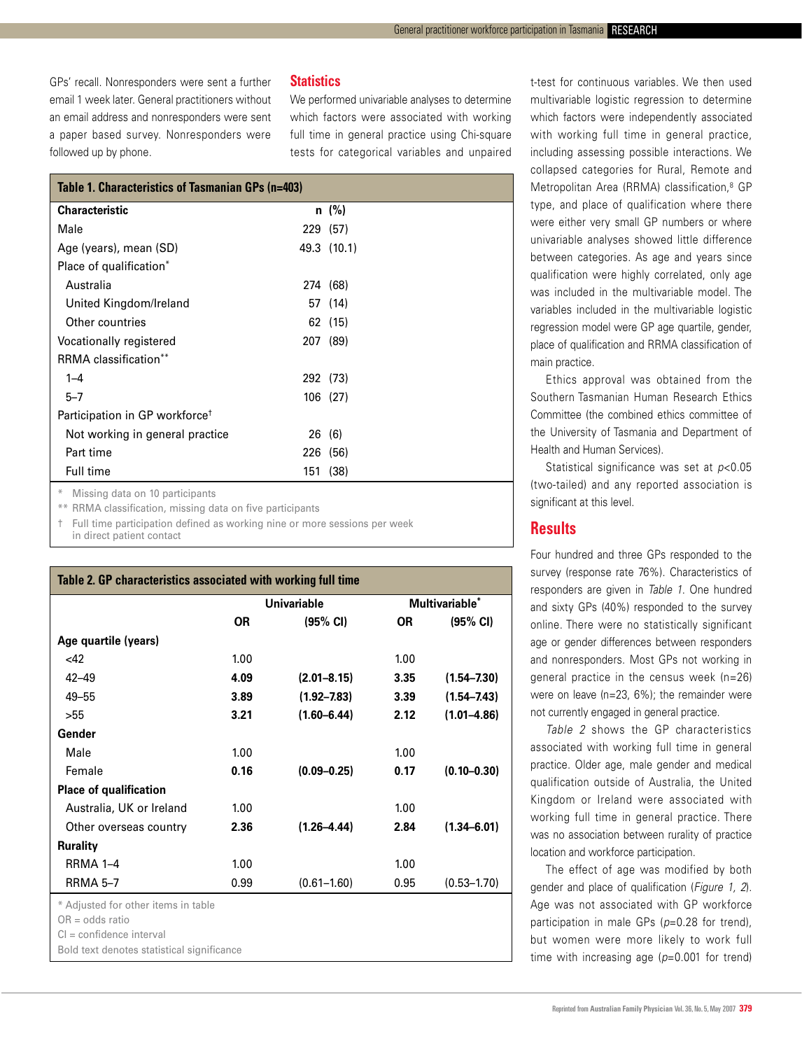GPs' recall. Nonresponders were sent a further email 1 week later. General practitioners without an email address and nonresponders were sent a paper based survey. Nonresponders were followed up by phone.

### **Statistics**

We performed univariable analyses to determine which factors were associated with working full time in general practice using Chi-square tests for categorical variables and unpaired

| Table 1. Characteristics of Tasmanian GPs (n=403) |  |             |  |  |  |
|---------------------------------------------------|--|-------------|--|--|--|
| <b>Characteristic</b>                             |  | $n \ (\%)$  |  |  |  |
| Male                                              |  | 229 (57)    |  |  |  |
| Age (years), mean (SD)                            |  | 49.3 (10.1) |  |  |  |
| Place of qualification*                           |  |             |  |  |  |
| Australia                                         |  | 274 (68)    |  |  |  |
| United Kingdom/Ireland                            |  | 57 (14)     |  |  |  |
| Other countries                                   |  | 62 (15)     |  |  |  |
| Vocationally registered                           |  | 207 (89)    |  |  |  |
| RRMA classification**                             |  |             |  |  |  |
| $1 - 4$                                           |  | 292 (73)    |  |  |  |
| $5 - 7$                                           |  | 106 (27)    |  |  |  |
| Participation in GP workforce <sup>†</sup>        |  |             |  |  |  |
| Not working in general practice                   |  | 26(6)       |  |  |  |
| Part time                                         |  | 226 (56)    |  |  |  |
| Full time                                         |  | 151 (38)    |  |  |  |

Missing data on 10 participants

\*\* RRMA classification, missing data on five participants

† Full time participation defined as working nine or more sessions per week

in direct patient contact

| Table 2. GP characteristics associated with working full time |                    |                    |                |                    |  |  |  |  |
|---------------------------------------------------------------|--------------------|--------------------|----------------|--------------------|--|--|--|--|
|                                                               | <b>Univariable</b> |                    | Multivariable* |                    |  |  |  |  |
|                                                               | 0R                 | $(95% \text{ Cl})$ | <b>OR</b>      | $(95% \text{ Cl})$ |  |  |  |  |
| Age quartile (years)                                          |                    |                    |                |                    |  |  |  |  |
| <42                                                           | 1.00               |                    | 1.00           |                    |  |  |  |  |
| $42 - 49$                                                     | 4.09               | $(2.01 - 8.15)$    | 3.35           | $(1.54 - 7.30)$    |  |  |  |  |
| $49 - 55$                                                     | 3.89               | $(1.92 - 7.83)$    | 3.39           | $(1.54 - 7.43)$    |  |  |  |  |
| >55                                                           | 3.21               | $(1.60 - 6.44)$    | 2.12           | $(1.01 - 4.86)$    |  |  |  |  |
| Gender                                                        |                    |                    |                |                    |  |  |  |  |
| Male                                                          | 1.00               |                    | 1.00           |                    |  |  |  |  |
| Female                                                        | 0.16               | $(0.09 - 0.25)$    | 0.17           | $(0.10 - 0.30)$    |  |  |  |  |
| <b>Place of qualification</b>                                 |                    |                    |                |                    |  |  |  |  |
| Australia, UK or Ireland                                      | 1.00               |                    | 1.00           |                    |  |  |  |  |
| Other overseas country                                        | 2.36               | $(1.26 - 4.44)$    | 2.84           | $(1.34 - 6.01)$    |  |  |  |  |
| <b>Rurality</b>                                               |                    |                    |                |                    |  |  |  |  |
| RRMA 1-4                                                      | 1.00               |                    | 1.00           |                    |  |  |  |  |
| <b>RRMA 5-7</b>                                               | 0.99               | $(0.61 - 1.60)$    | 0.95           | $(0.53 - 1.70)$    |  |  |  |  |
| * Adjusted for other items in table                           |                    |                    |                |                    |  |  |  |  |
| $OR = odds ratio$                                             |                    |                    |                |                    |  |  |  |  |
| $Cl =$ confidence interval                                    |                    |                    |                |                    |  |  |  |  |
| Bold text denotes statistical significance                    |                    |                    |                |                    |  |  |  |  |

t-test for continuous variables. We then used multivariable logistic regression to determine which factors were independently associated with working full time in general practice, including assessing possible interactions. We collapsed categories for Rural, Remote and Metropolitan Area (RRMA) classification.<sup>8</sup> GP type, and place of qualification where there were either very small GP numbers or where univariable analyses showed little difference between categories. As age and years since qualification were highly correlated, only age was included in the multivariable model. The variables included in the multivariable logistic regression model were GP age quartile, gender, place of qualification and RRMA classification of main practice.

Ethics approval was obtained from the Southern Tasmanian Human Research Ethics Committee (the combined ethics committee of the University of Tasmania and Department of Health and Human Services).

Statistical significance was set at *p*<0.05 (two-tailed) and any reported association is significant at this level.

# **Results**

Four hundred and three GPs responded to the survey (response rate 76%). Characteristics of responders are given in *Table 1*. One hundred and sixty GPs (40%) responded to the survey online. There were no statistically significant age or gender differences between responders and nonresponders. Most GPs not working in general practice in the census week (n=26) were on leave (n=23, 6%); the remainder were not currently engaged in general practice.

*Table 2* shows the GP characteristics associated with working full time in general practice. Older age, male gender and medical qualification outside of Australia, the United Kingdom or Ireland were associated with working full time in general practice. There was no association between rurality of practice location and workforce participation.

The effect of age was modified by both gender and place of qualification (*Figure 1, 2*). Age was not associated with GP workforce participation in male GPs (*p*=0.28 for trend), but women were more likely to work full time with increasing age (*p*=0.001 for trend)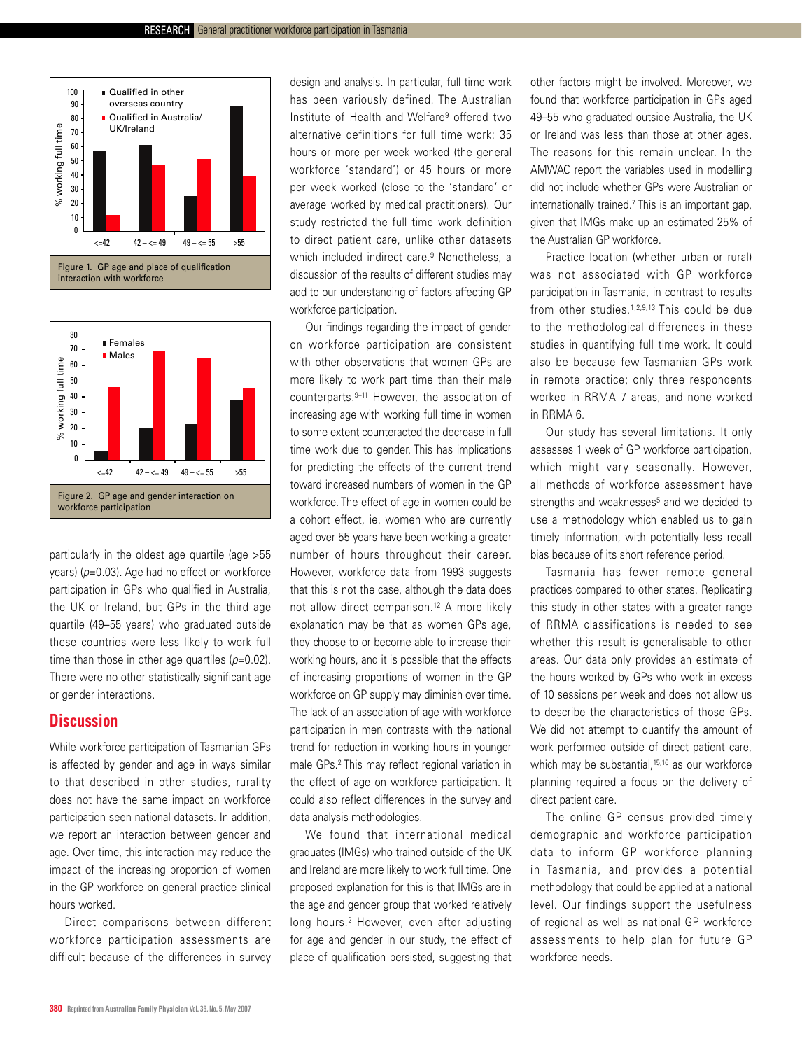



particularly in the oldest age quartile (age >55 years) (*p*=0.03). Age had no effect on workforce participation in GPs who qualified in Australia, the UK or Ireland, but GPs in the third age quartile (49–55 years) who graduated outside these countries were less likely to work full time than those in other age quartiles ( $p=0.02$ ). There were no other statistically significant age or gender interactions.

# **Discussion**

While workforce participation of Tasmanian GPs is affected by gender and age in ways similar to that described in other studies, rurality does not have the same impact on workforce participation seen national datasets. In addition, we report an interaction between gender and age. Over time, this interaction may reduce the impact of the increasing proportion of women in the GP workforce on general practice clinical hours worked.

Direct comparisons between different workforce participation assessments are 0.2 difficult because of the differences in survey

Age at diagnosis

design and analysis. In particular, full time work has been variously defined. The Australian Institute of Health and Welfare9 offered two alternative definitions for full time work: 35 hours or more per week worked (the general workforce 'standard') or 45 hours or more per week worked (close to the 'standard' or average worked by medical practitioners). Our study restricted the full time work definition to direct patient care, unlike other datasets which included indirect care.<sup>9</sup> Nonetheless, a discussion of the results of different studies may add to our understanding of factors affecting GP workforce participation.

Our findings regarding the impact of gender on workforce participation are consistent with other observations that women GPs are more likely to work part time than their male counterparts.9–11 However, the association of increasing age with working full time in women to some extent counteracted the decrease in full time work due to gender. This has implications for predicting the effects of the current trend toward increased numbers of women in the GP workforce. The effect of age in women could be a cohort effect, ie. women who are currently aged over 55 years have been working a greater number of hours throughout their career. However, workforce data from 1993 suggests that this is not the case, although the data does not allow direct comparison.<sup>12</sup> A more likely explanation may be that as women GPs age, they choose to or become able to increase their working hours, and it is possible that the effects of increasing proportions of women in the GP workforce on GP supply may diminish over time. The lack of an association of age with workforce participation in men contrasts with the national trend for reduction in working hours in younger male GPs.2 This may reflect regional variation in the effect of age on workforce participation. It could also reflect differences in the survey and data analysis methodologies.

We found that international medical graduates (IMGs) who trained outside of the UK and Ireland are more likely to work full time. One proposed explanation for this is that IMGs are in the age and gender group that worked relatively long hours.<sup>2</sup> However, even after adjusting for age and gender in our study, the effect of place of qualification persisted, suggesting that other factors might be involved. Moreover, we found that workforce participation in GPs aged 49–55 who graduated outside Australia, the UK or Ireland was less than those at other ages. The reasons for this remain unclear. In the AMWAC report the variables used in modelling did not include whether GPs were Australian or internationally trained.7 This is an important gap, given that IMGs make up an estimated 25% of the Australian GP workforce.

Practice location (whether urban or rural) was not associated with GP workforce participation in Tasmania, in contrast to results from other studies.1,2,9,13 This could be due to the methodological differences in these studies in quantifying full time work. It could also be because few Tasmanian GPs work in remote practice; only three respondents worked in RRMA 7 areas, and none worked in RRMA 6.

Our study has several limitations. It only assesses 1 week of GP workforce participation, which might vary seasonally. However, all methods of workforce assessment have strengths and weaknesses<sup>5</sup> and we decided to use a methodology which enabled us to gain timely information, with potentially less recall bias because of its short reference period.

Tasmania has fewer remote general practices compared to other states. Replicating this study in other states with a greater range of RRMA classifications is needed to see whether this result is generalisable to other areas. Our data only provides an estimate of the hours worked by GPs who work in excess of 10 sessions per week and does not allow us to describe the characteristics of those GPs. We did not attempt to quantify the amount of work performed outside of direct patient care, which may be substantial,<sup>15,16</sup> as our workforce planning required a focus on the delivery of direct patient care.

The online GP census provided timely demographic and workforce participation data to inform GP workforce planning in Tasmania, and provides a potential methodology that could be applied at a national level. Our findings support the usefulness of regional as well as national GP workforce assessments to help plan for future GP workforce needs.